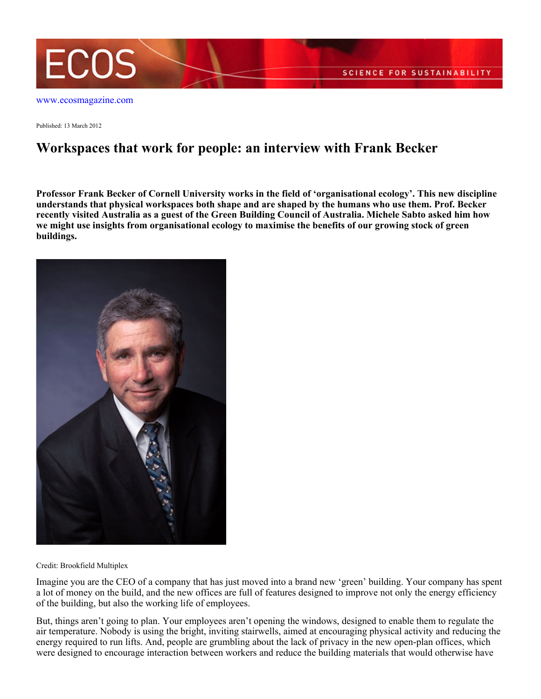

Published: 13 March 2012

# **Workspaces that work for people: an interview with Frank Becker**

**Professor Frank Becker of Cornell University works in the field of 'organisational ecology'. This new discipline understands that physical workspaces both shape and are shaped by the humans who use them. Prof. Becker recently visited Australia as a guest of the Green Building Council of Australia. Michele Sabto asked him how we might use insights from organisational ecology to maximise the benefits of our growing stock of green buildings.**



Credit: Brookfield Multiplex

Imagine you are the CEO of a company that has just moved into a brand new 'green' building. Your company has spent a lot of money on the build, and the new offices are full of features designed to improve not only the energy efficiency of the building, but also the working life of employees.

But, things aren't going to plan. Your employees aren't opening the windows, designed to enable them to regulate the air temperature. Nobody is using the bright, inviting stairwells, aimed at encouraging physical activity and reducing the energy required to run lifts. And, people are grumbling about the lack of privacy in the new open-plan offices, which were designed to encourage interaction between workers and reduce the building materials that would otherwise have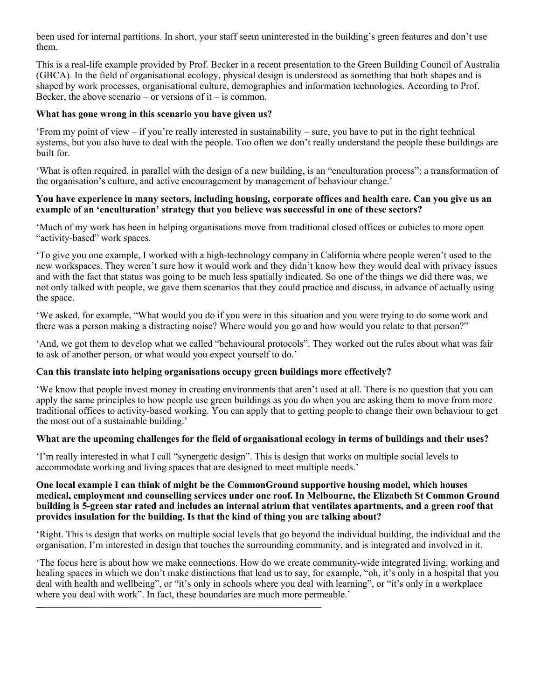been used for internal partitions. In short, your staff seem uninterested in the building's green features and don't use them.

This is a real-life example provided by Prof. Becker in a recent presentation to the Green Building Council of Australia (GBCA). In the field of organisational ecology, physical design is understood as something that both shapes and is shaped by work processes, organisational culture, demographics and information technologies. According to Prof. Becker, the above scenario – or versions of it – is common.

# **What has gone wrong in this scenario you have given us?**

'From my point of view – if you're really interested in sustainability – sure, you have to put in the right technical systems, but you also have to deal with the people. Too often we don't really understand the people these buildings are built for.

'What is often required, in parallel with the design of a new building, is an "enculturation process": a transformation of the organisation's culture, and active encouragement by management of behaviour change.'

#### **You have experience in many sectors, including housing, corporate offices and health care. Can you give us an example of an 'enculturation' strategy that you believe was successful in one of these sectors?**

'Much of my work has been in helping organisations move from traditional closed offices or cubicles to more open "activity-based" work spaces.

'To give you one example, I worked with a high-technology company in California where people weren't used to the new workspaces. They weren't sure how it would work and they didn't know how they would deal with privacy issues and with the fact that status was going to be much less spatially indicated. So one of the things we did there was, we not only talked with people, we gave them scenarios that they could practice and discuss, in advance of actually using the space.

'We asked, for example, "What would you do if you were in this situation and you were trying to do some work and there was a person making a distracting noise? Where would you go and how would you relate to that person?"

'And, we got them to develop what we called "behavioural protocols". They worked out the rules about what was fair to ask of another person, or what would you expect yourself to do.'

# **Can this translate into helping organisations occupy green buildings more effectively?**

'We know that people invest money in creating environments that aren't used at all. There is no question that you can apply the same principles to how people use green buildings as you do when you are asking them to move from more traditional offices to activity-based working. You can apply that to getting people to change their own behaviour to get the most out of a sustainable building.'

# **What are the upcoming challenges for the field of organisational ecology in terms of buildings and their uses?**

'I'm really interested in what I call "synergetic design". This is design that works on multiple social levels to accommodate working and living spaces that are designed to meet multiple needs.'

#### **One local example I can think of might be the CommonGround supportive housing model, which houses medical, employment and counselling services under one roof. In Melbourne, the Elizabeth St Common Ground building is 5-green star rated and includes an internal atrium that ventilates apartments, and a green roof that provides insulation for the building. Is that the kind of thing you are talking about?**

'Right. This is design that works on multiple social levels that go beyond the individual building, the individual and the organisation. I'm interested in design that touches the surrounding community, and is integrated and involved in it.

'The focus here is about how we make connections. How do we create community-wide integrated living, working and healing spaces in which we don't make distinctions that lead us to say, for example, "oh, it's only in a hospital that you deal with health and wellbeing", or "it's only in schools where you deal with learning", or "it's only in a workplace where you deal with work". In fact, these boundaries are much more permeable.'